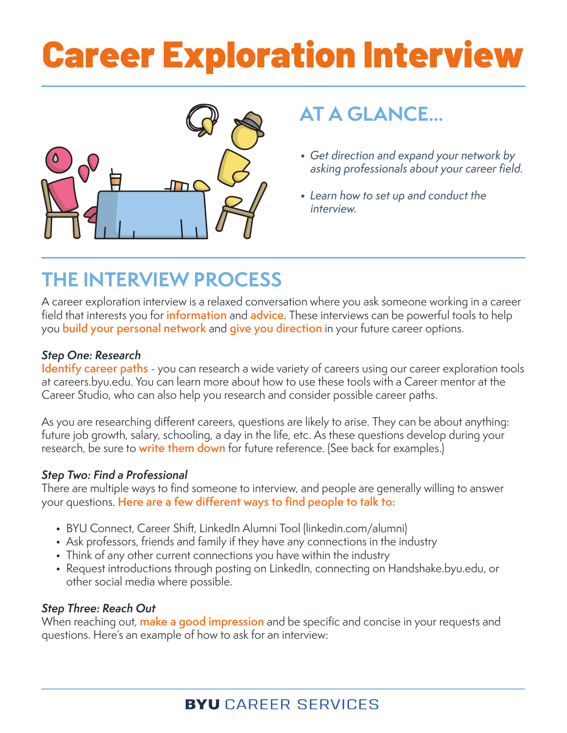# Career Exploration Interview



### **AT A GLANCE...**

- Get direction and expand your network by asking professionals about your career field.
- Learn how to set up and conduct the interview.

## **THE INTERVIEW PROCESS**

A career exploration interview is a relaxed conversation where you ask someone working in a career field that interests you for **information** and **advice**. These interviews can be powerful tools to help you **build your personal network** and **give you direction** in your future career options**.**

### Step One: Research

**Identify career paths** - you can research a wide variety of careers using our career exploration tools at careers.byu.edu. You can learn more about how to use these tools with a Career mentor at the [Career Studio,](https://careers.byu.edu/meet-your-mentors) who can also help you research and consider possible career paths.

As you are researching different careers, questions are likely to arise. They can be about anything: future job growth, salary, schooling, a day in the life, etc. As these questions develop during your research, be sure to **write them down** for future reference. (See back for examples.)

### Step Two: Find a Professional

There are multiple ways to find someone to interview, and people are generally willing to answer your questions. **Here are a few different ways to find people to talk to:**

- [BYU Connect](https://www.ldsces.org/hub/byu/), Career Shift, [LinkedIn Alumni Tool](https://www.linkedin.com/help/linkedin/answer/16639/linkedin-page-alumni-section-overview?lang=en) (linkedin.com/alumni)
- Ask professors, friends and family if they have any connections in the industry
- Think of any other current connections you have within the industry
- Request introductions through posting on [LinkedIn](https://www.linkedin.com/home), connecting on [Handshake.byu.edu](http://handshake.byu.edu/), or other social media where possible.

### Step Three: Reach Out

When reaching out, **make a good impression** and be specific and concise in your requests and questions. Here's an example of how to ask for an interview: